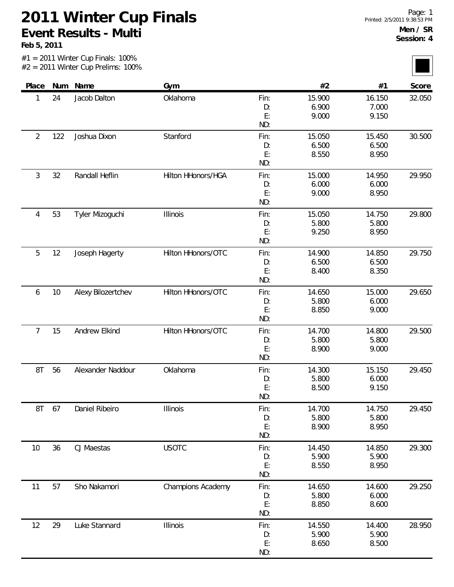#1 = 2011 Winter Cup Finals: 100%

**Feb 5, 2011**

<u>rans</u>

|                |      | $#2 = 2011$ Winter Cup Prelims: 100% |                    |                         |                          |                          |        |
|----------------|------|--------------------------------------|--------------------|-------------------------|--------------------------|--------------------------|--------|
| Place          |      | Num Name                             | Gym                |                         | #2                       | #1                       | Score  |
| 1              | 24   | Jacob Dalton                         | Oklahoma           | Fin:<br>D:<br>E:<br>ND: | 15.900<br>6.900<br>9.000 | 16.150<br>7.000<br>9.150 | 32.050 |
| $\overline{2}$ | 122  | Joshua Dixon                         | Stanford           | Fin:<br>D:<br>E:<br>ND: | 15.050<br>6.500<br>8.550 | 15.450<br>6.500<br>8.950 | 30.500 |
| 3              | 32   | Randall Heflin                       | Hilton HHonors/HGA | Fin:<br>D:<br>E:<br>ND: | 15.000<br>6.000<br>9.000 | 14.950<br>6.000<br>8.950 | 29.950 |
| 4              | 53   | Tyler Mizoguchi                      | Illinois           | Fin:<br>D:<br>E:<br>ND: | 15.050<br>5.800<br>9.250 | 14.750<br>5.800<br>8.950 | 29.800 |
| 5              | 12   | Joseph Hagerty                       | Hilton HHonors/OTC | Fin:<br>D:<br>E:<br>ND: | 14.900<br>6.500<br>8.400 | 14.850<br>6.500<br>8.350 | 29.750 |
| 6              | $10$ | Alexy Bilozertchev                   | Hilton HHonors/OTC | Fin:<br>D:<br>E:<br>ND: | 14.650<br>5.800<br>8.850 | 15.000<br>6.000<br>9.000 | 29.650 |
| $\overline{7}$ | 15   | Andrew Elkind                        | Hilton HHonors/OTC | Fin:<br>D:<br>E:<br>ND: | 14.700<br>5.800<br>8.900 | 14.800<br>5.800<br>9.000 | 29.500 |
| 8T             | 56   | Alexander Naddour                    | Oklahoma           | Fin:<br>D:<br>E:<br>ND: | 14.300<br>5.800<br>8.500 | 15.150<br>6.000<br>9.150 | 29.450 |
| 8T             | 67   | Daniel Ribeiro                       | <b>Illinois</b>    | Fin:<br>D:<br>E:<br>ND: | 14.700<br>5.800<br>8.900 | 14.750<br>5.800<br>8.950 | 29.450 |
| 10             | 36   | CJ Maestas                           | <b>USOTC</b>       | Fin:<br>D:<br>E:<br>ND: | 14.450<br>5.900<br>8.550 | 14.850<br>5.900<br>8.950 | 29.300 |
| 11             | 57   | Sho Nakamori                         | Champions Academy  | Fin:<br>D:<br>E:<br>ND: | 14.650<br>5.800<br>8.850 | 14.600<br>6.000<br>8.600 | 29.250 |
| 12             | 29   | Luke Stannard                        | Illinois           | Fin:<br>D:<br>E:<br>ND: | 14.550<br>5.900<br>8.650 | 14.400<br>5.900<br>8.500 | 28.950 |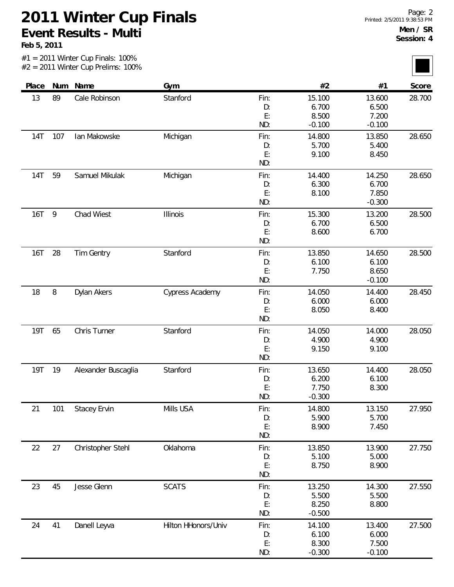#1 = 2011 Winter Cup Finals: 100%

**Feb 5, 2011**

|            |        | $#2 = 2011$ Winter Cup Prelims: 100% |                     |          |                 |                |        |
|------------|--------|--------------------------------------|---------------------|----------|-----------------|----------------|--------|
| Place      |        | Num Name                             | Gym                 |          | #2              | #1             | Score  |
| 13         | 89     | Cale Robinson                        | Stanford            | Fin:     | 15.100          | 13.600         | 28.700 |
|            |        |                                      |                     | D:       | 6.700           | 6.500          |        |
|            |        |                                      |                     | E:       | 8.500           | 7.200          |        |
|            |        |                                      |                     | ND:      | $-0.100$        | $-0.100$       |        |
| <b>14T</b> | 107    | Ian Makowske                         | Michigan            | Fin:     | 14.800          | 13.850         | 28.650 |
|            |        |                                      |                     | D:       | 5.700           | 5.400          |        |
|            |        |                                      |                     | E:       | 9.100           | 8.450          |        |
|            |        |                                      |                     | ND:      |                 |                |        |
| 14T        | 59     | Samuel Mikulak                       | Michigan            | Fin:     | 14.400          | 14.250         | 28.650 |
|            |        |                                      |                     | D:       | 6.300           | 6.700          |        |
|            |        |                                      |                     | E:       | 8.100           | 7.850          |        |
|            |        |                                      |                     | ND:      |                 | $-0.300$       |        |
| <b>16T</b> | 9      | Chad Wiest                           | Illinois            | Fin:     | 15.300          | 13.200         | 28.500 |
|            |        |                                      |                     | D:       | 6.700           | 6.500          |        |
|            |        |                                      |                     | E:       | 8.600           | 6.700          |        |
|            |        |                                      |                     | ND:      |                 |                |        |
| 16T        | 28     | <b>Tim Gentry</b>                    | Stanford            | Fin:     | 13.850          | 14.650         | 28.500 |
|            |        |                                      |                     | D:       | 6.100           | 6.100          |        |
|            |        |                                      |                     | E:       | 7.750           | 8.650          |        |
|            |        |                                      |                     | ND:      |                 | $-0.100$       |        |
| 18         | $\, 8$ | Dylan Akers                          | Cypress Academy     | Fin:     | 14.050          | 14.400         | 28.450 |
|            |        |                                      |                     | D:       | 6.000           | 6.000          |        |
|            |        |                                      |                     | E:       | 8.050           | 8.400          |        |
|            |        |                                      |                     | ND:      |                 |                |        |
| <b>19T</b> | 65     | Chris Turner                         | Stanford            | Fin:     | 14.050          | 14.000         | 28.050 |
|            |        |                                      |                     | D:       | 4.900           | 4.900          |        |
|            |        |                                      |                     | E:       | 9.150           | 9.100          |        |
|            |        |                                      |                     | ND:      |                 |                |        |
| <b>19T</b> | 19     | Alexander Buscaglia                  | Stanford            | Fin:     | 13.650          | 14.400         | 28.050 |
|            |        |                                      |                     | D:       | 6.200           | 6.100          |        |
|            |        |                                      |                     | E:       | 7.750           | 8.300          |        |
|            |        |                                      |                     | ND:      | $-0.300$        |                |        |
| 21         | 101    | <b>Stacey Ervin</b>                  | Mills USA           | Fin:     | 14.800          | 13.150         | 27.950 |
|            |        |                                      |                     | D:       | 5.900           | 5.700          |        |
|            |        |                                      |                     | E:       | 8.900           | 7.450          |        |
|            |        |                                      |                     | ND:      |                 |                |        |
| 22         | 27     | Christopher Stehl                    | Oklahoma            | Fin:     | 13.850          | 13.900         | 27.750 |
|            |        |                                      |                     | D:       | 5.100           | 5.000          |        |
|            |        |                                      |                     | E:       | 8.750           | 8.900          |        |
|            |        |                                      |                     | ND:      |                 |                |        |
|            |        |                                      |                     |          |                 |                |        |
| 23         | 45     | Jesse Glenn                          | <b>SCATS</b>        | Fin:     | 13.250<br>5.500 | 14.300         | 27.550 |
|            |        |                                      |                     | D:<br>E: | 8.250           | 5.500<br>8.800 |        |
|            |        |                                      |                     | ND:      | $-0.500$        |                |        |
|            |        |                                      |                     |          |                 |                |        |
| 24         | 41     | Danell Leyva                         | Hilton HHonors/Univ | Fin:     | 14.100          | 13.400         | 27.500 |
|            |        |                                      |                     | D:<br>E: | 6.100           | 6.000          |        |
|            |        |                                      |                     |          | 8.300           | 7.500          |        |

-0.300

ND:

-0.100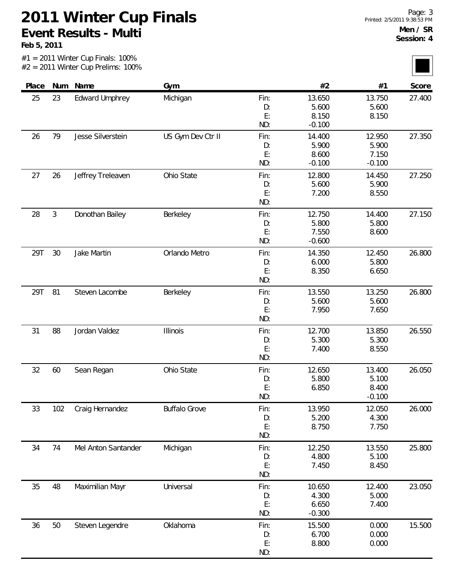#1 = 2011 Winter Cup Finals: 100%

**Feb 5, 2011**

|       |                | $#2 = 2011$ Winter Cup Prelims: 100% |                      |      |          |          |        |
|-------|----------------|--------------------------------------|----------------------|------|----------|----------|--------|
| Place | Num            | Name                                 | Gym                  |      | #2       | #1       | Score  |
| 25    | 23             | <b>Edward Umphrey</b>                | Michigan             | Fin: | 13.650   | 13.750   | 27.400 |
|       |                |                                      |                      | D:   | 5.600    | 5.600    |        |
|       |                |                                      |                      | E:   | 8.150    | 8.150    |        |
|       |                |                                      |                      | ND:  | $-0.100$ |          |        |
| 26    | 79             | Jesse Silverstein                    | US Gym Dev Ctr II    | Fin: | 14.400   | 12.950   | 27.350 |
|       |                |                                      |                      | D:   | 5.900    | 5.900    |        |
|       |                |                                      |                      | E:   | 8.600    | 7.150    |        |
|       |                |                                      |                      | ND:  | $-0.100$ | $-0.100$ |        |
| 27    | 26             | Jeffrey Treleaven                    | Ohio State           | Fin: | 12.800   | 14.450   | 27.250 |
|       |                |                                      |                      | D:   | 5.600    | 5.900    |        |
|       |                |                                      |                      | E:   | 7.200    | 8.550    |        |
|       |                |                                      |                      | ND:  |          |          |        |
| 28    | $\mathfrak{Z}$ | Donothan Bailey                      | Berkeley             | Fin: | 12.750   | 14.400   | 27.150 |
|       |                |                                      |                      | D:   | 5.800    | 5.800    |        |
|       |                |                                      |                      | E:   | 7.550    | 8.600    |        |
|       |                |                                      |                      | ND:  | $-0.600$ |          |        |
| 29T   | 30             | Jake Martin                          | Orlando Metro        | Fin: | 14.350   | 12.450   | 26.800 |
|       |                |                                      |                      | D:   | 6.000    | 5.800    |        |
|       |                |                                      |                      | E:   | 8.350    | 6.650    |        |
|       |                |                                      |                      | ND:  |          |          |        |
| 29T   | 81             | Steven Lacombe                       | Berkeley             | Fin: | 13.550   | 13.250   | 26.800 |
|       |                |                                      |                      | D:   | 5.600    | 5.600    |        |
|       |                |                                      |                      | E:   | 7.950    | 7.650    |        |
|       |                |                                      |                      | ND:  |          |          |        |
| 31    | 88             | Jordan Valdez                        | <b>Illinois</b>      | Fin: | 12.700   | 13.850   | 26.550 |
|       |                |                                      |                      | D:   | 5.300    | 5.300    |        |
|       |                |                                      |                      | E:   | 7.400    | 8.550    |        |
|       |                |                                      |                      | ND:  |          |          |        |
| 32    | 60             | Sean Regan                           | Ohio State           | Fin: | 12.650   | 13.400   | 26.050 |
|       |                |                                      |                      | D:   | 5.800    | 5.100    |        |
|       |                |                                      |                      | E:   | 6.850    | 8.400    |        |
|       |                |                                      |                      | ND:  |          | $-0.100$ |        |
| 33    | 102            | Craig Hernandez                      | <b>Buffalo Grove</b> | Fin: | 13.950   | 12.050   | 26.000 |
|       |                |                                      |                      | D:   | 5.200    | 4.300    |        |
|       |                |                                      |                      | E:   | 8.750    | 7.750    |        |
|       |                |                                      |                      | ND:  |          |          |        |
| 34    | 74             | Mel Anton Santander                  | Michigan             | Fin: | 12.250   | 13.550   | 25.800 |
|       |                |                                      |                      | D:   | 4.800    | 5.100    |        |
|       |                |                                      |                      | E:   | 7.450    | 8.450    |        |
|       |                |                                      |                      | ND:  |          |          |        |
| 35    | 48             | Maximilian Mayr                      | Universal            | Fin: | 10.650   | 12.400   | 23.050 |
|       |                |                                      |                      | D:   | 4.300    | 5.000    |        |
|       |                |                                      |                      | E:   | 6.650    | 7.400    |        |
|       |                |                                      |                      | ND:  | $-0.300$ |          |        |
| 36    | 50             | Steven Legendre                      | Oklahoma             | Fin: | 15.500   | 0.000    | 15.500 |
|       |                |                                      |                      | D:   | 6.700    | 0.000    |        |
|       |                |                                      |                      | E:   | 8.800    | 0.000    |        |
|       |                |                                      |                      |      |          |          |        |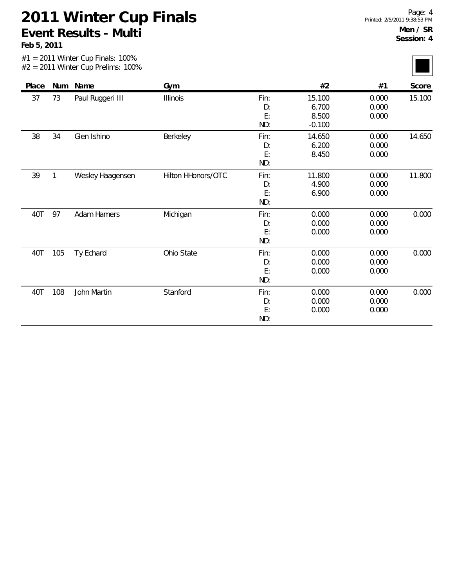|       |              | $#1 = 2011$ Winter Cup Finals: 100%<br>$#2 = 2011$ Winter Cup Prelims: 100% |                    |                         |                                      |                         |        |
|-------|--------------|-----------------------------------------------------------------------------|--------------------|-------------------------|--------------------------------------|-------------------------|--------|
| Place |              | Num Name                                                                    | Gym                |                         | #2                                   | #1                      | Score  |
| 37    | 73           | Paul Ruggeri III                                                            | <b>Illinois</b>    | Fin:<br>D:<br>E:<br>ND: | 15.100<br>6.700<br>8.500<br>$-0.100$ | 0.000<br>0.000<br>0.000 | 15.100 |
| 38    | 34           | Glen Ishino                                                                 | Berkeley           | Fin:<br>D:<br>E:<br>ND: | 14.650<br>6.200<br>8.450             | 0.000<br>0.000<br>0.000 | 14.650 |
| 39    | $\mathbf{1}$ | Wesley Haagensen                                                            | Hilton HHonors/OTC | Fin:<br>D:<br>E:<br>ND: | 11.800<br>4.900<br>6.900             | 0.000<br>0.000<br>0.000 | 11.800 |
| 40T   | 97           | <b>Adam Hamers</b>                                                          | Michigan           | Fin:<br>D:<br>E:<br>ND: | 0.000<br>0.000<br>0.000              | 0.000<br>0.000<br>0.000 | 0.000  |
| 40T   | 105          | Ty Echard                                                                   | Ohio State         | Fin:<br>D:<br>E:<br>ND: | 0.000<br>0.000<br>0.000              | 0.000<br>0.000<br>0.000 | 0.000  |
| 40T   | 108          | John Martin                                                                 | Stanford           | Fin:<br>D:<br>E:<br>ND: | 0.000<br>0.000<br>0.000              | 0.000<br>0.000<br>0.000 | 0.000  |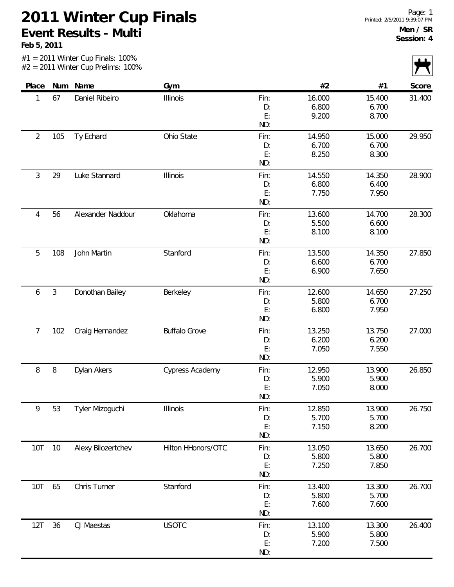|                |                | $#1 = 2011$ Winter Cup Finals: 100%<br>$#2 = 2011$ Winter Cup Prelims: 100% |                      |                         |                          |                          |        |
|----------------|----------------|-----------------------------------------------------------------------------|----------------------|-------------------------|--------------------------|--------------------------|--------|
| Place          |                | Num Name                                                                    | Gym                  |                         | #2                       | #1                       | Score  |
| 1              | 67             | Daniel Ribeiro                                                              | Illinois             | Fin:<br>D:<br>E:<br>ND: | 16.000<br>6.800<br>9.200 | 15.400<br>6.700<br>8.700 | 31.400 |
| $\overline{2}$ | 105            | Ty Echard                                                                   | Ohio State           | Fin:<br>D:<br>E:<br>ND: | 14.950<br>6.700<br>8.250 | 15.000<br>6.700<br>8.300 | 29.950 |
| 3              | 29             | Luke Stannard                                                               | Illinois             | Fin:<br>D:<br>E:<br>ND: | 14.550<br>6.800<br>7.750 | 14.350<br>6.400<br>7.950 | 28.900 |
| 4              | 56             | Alexander Naddour                                                           | Oklahoma             | Fin:<br>D:<br>E:<br>ND: | 13.600<br>5.500<br>8.100 | 14.700<br>6.600<br>8.100 | 28.300 |
| 5              | 108            | John Martin                                                                 | Stanford             | Fin:<br>D:<br>E:<br>ND: | 13.500<br>6.600<br>6.900 | 14.350<br>6.700<br>7.650 | 27.850 |
| 6              | $\mathfrak{Z}$ | Donothan Bailey                                                             | Berkeley             | Fin:<br>D:<br>E:<br>ND: | 12.600<br>5.800<br>6.800 | 14.650<br>6.700<br>7.950 | 27.250 |
| $\overline{7}$ | 102            | Craig Hernandez                                                             | <b>Buffalo Grove</b> | Fin:<br>D:<br>E:<br>ND: | 13.250<br>6.200<br>7.050 | 13.750<br>6.200<br>7.550 | 27.000 |
| 8              | $\, 8$         | Dylan Akers                                                                 | Cypress Academy      | Fin:<br>D:<br>E:<br>ND: | 12.950<br>5.900<br>7.050 | 13.900<br>5.900<br>8.000 | 26.850 |
| 9              | 53             | Tyler Mizoguchi                                                             | Illinois             | Fin:<br>D:<br>E:<br>ND: | 12.850<br>5.700<br>7.150 | 13.900<br>5.700<br>8.200 | 26.750 |
| 10T            | $10$           | Alexy Bilozertchev                                                          | Hilton HHonors/OTC   | Fin:<br>D:<br>E:<br>ND: | 13.050<br>5.800<br>7.250 | 13.650<br>5.800<br>7.850 | 26.700 |
| 10T            | 65             | Chris Turner                                                                | Stanford             | Fin:<br>D:<br>E:<br>ND: | 13.400<br>5.800<br>7.600 | 13.300<br>5.700<br>7.600 | 26.700 |
| 12T            | 36             | CJ Maestas                                                                  | <b>USOTC</b>         | Fin:<br>D:<br>E:<br>ND: | 13.100<br>5.900<br>7.200 | 13.300<br>5.800<br>7.500 | 26.400 |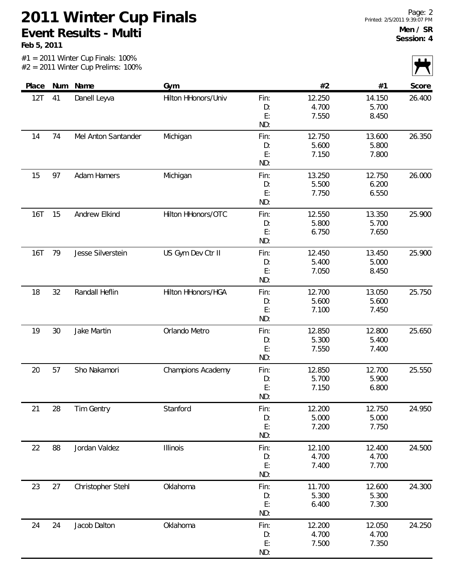|            |    | $#1 = 2011$ Winter Cup Finals: 100%<br>$#2 = 2011$ Winter Cup Prelims: 100% |                     |                         |                          |                          |        |
|------------|----|-----------------------------------------------------------------------------|---------------------|-------------------------|--------------------------|--------------------------|--------|
| Place      |    | Num Name                                                                    | Gym                 |                         | #2                       | #1                       | Score  |
| 12T        | 41 | Danell Leyva                                                                | Hilton HHonors/Univ | Fin:<br>D:<br>E:<br>ND: | 12.250<br>4.700<br>7.550 | 14.150<br>5.700<br>8.450 | 26.400 |
| 14         | 74 | Mel Anton Santander                                                         | Michigan            | Fin:<br>D:<br>E:<br>ND: | 12.750<br>5.600<br>7.150 | 13.600<br>5.800<br>7.800 | 26.350 |
| 15         | 97 | <b>Adam Hamers</b>                                                          | Michigan            | Fin:<br>D:<br>E:<br>ND: | 13.250<br>5.500<br>7.750 | 12.750<br>6.200<br>6.550 | 26.000 |
| <b>16T</b> | 15 | Andrew Elkind                                                               | Hilton HHonors/OTC  | Fin:<br>D:<br>E:<br>ND: | 12.550<br>5.800<br>6.750 | 13.350<br>5.700<br>7.650 | 25.900 |
| <b>16T</b> | 79 | Jesse Silverstein                                                           | US Gym Dev Ctr II   | Fin:<br>D:<br>E:<br>ND: | 12.450<br>5.400<br>7.050 | 13.450<br>5.000<br>8.450 | 25.900 |
| 18         | 32 | Randall Heflin                                                              | Hilton HHonors/HGA  | Fin:<br>D:<br>E:<br>ND: | 12.700<br>5.600<br>7.100 | 13.050<br>5.600<br>7.450 | 25.750 |
| 19         | 30 | Jake Martin                                                                 | Orlando Metro       | Fin:<br>D:<br>E:<br>ND: | 12.850<br>5.300<br>7.550 | 12.800<br>5.400<br>7.400 | 25.650 |
| 20         | 57 | Sho Nakamori                                                                | Champions Academy   | Fin:<br>D:<br>E:<br>ND: | 12.850<br>5.700<br>7.150 | 12.700<br>5.900<br>6.800 | 25.550 |
| 21         | 28 | Tim Gentry                                                                  | Stanford            | Fin:<br>D:<br>E:<br>ND: | 12.200<br>5.000<br>7.200 | 12.750<br>5.000<br>7.750 | 24.950 |
| 22         | 88 | Jordan Valdez                                                               | Illinois            | Fin:<br>D:<br>E:<br>ND: | 12.100<br>4.700<br>7.400 | 12.400<br>4.700<br>7.700 | 24.500 |
| 23         | 27 | Christopher Stehl                                                           | Oklahoma            | Fin:<br>D:<br>E:<br>ND: | 11.700<br>5.300<br>6.400 | 12.600<br>5.300<br>7.300 | 24.300 |
| 24         | 24 | Jacob Dalton                                                                | Oklahoma            | Fin:<br>D:<br>E:<br>ND: | 12.200<br>4.700<br>7.500 | 12.050<br>4.700<br>7.350 | 24.250 |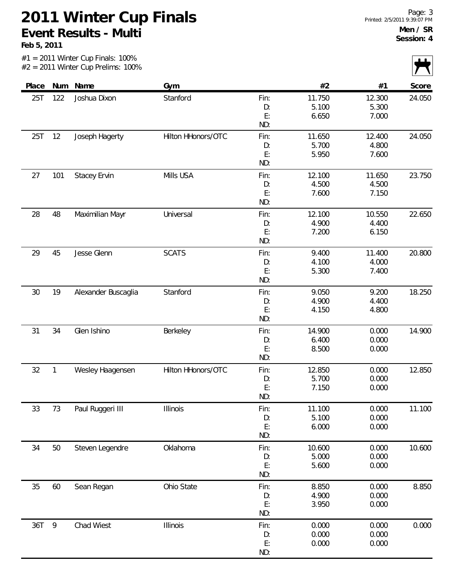**Feb 5, 2011**

|       |              | $#1 = 2011$ Winter Cup Finals: 100%<br>$#2 = 2011$ Winter Cup Prelims: 100% |                    |                         |                          |                          |        |
|-------|--------------|-----------------------------------------------------------------------------|--------------------|-------------------------|--------------------------|--------------------------|--------|
| Place |              | Num Name                                                                    | Gym                |                         | #2                       | #1                       | Score  |
| 25T   | 122          | Joshua Dixon                                                                | Stanford           | Fin:<br>D:<br>E:<br>ND: | 11.750<br>5.100<br>6.650 | 12.300<br>5.300<br>7.000 | 24.050 |
| 25T   | 12           | Joseph Hagerty                                                              | Hilton HHonors/OTC | Fin:<br>D:<br>E:<br>ND: | 11.650<br>5.700<br>5.950 | 12.400<br>4.800<br>7.600 | 24.050 |
| 27    | 101          | <b>Stacey Ervin</b>                                                         | Mills USA          | Fin:<br>D:<br>E:<br>ND: | 12.100<br>4.500<br>7.600 | 11.650<br>4.500<br>7.150 | 23.750 |
| 28    | 48           | Maximilian Mayr                                                             | Universal          | Fin:<br>D:<br>E:<br>ND: | 12.100<br>4.900<br>7.200 | 10.550<br>4.400<br>6.150 | 22.650 |
| 29    | 45           | Jesse Glenn                                                                 | <b>SCATS</b>       | Fin:<br>D:<br>E:<br>ND: | 9.400<br>4.100<br>5.300  | 11.400<br>4.000<br>7.400 | 20.800 |
| 30    | 19           | Alexander Buscaglia                                                         | Stanford           | Fin:<br>D:<br>E:<br>ND: | 9.050<br>4.900<br>4.150  | 9.200<br>4.400<br>4.800  | 18.250 |
| 31    | 34           | Glen Ishino                                                                 | Berkeley           | Fin:<br>D:<br>E:<br>ND: | 14.900<br>6.400<br>8.500 | 0.000<br>0.000<br>0.000  | 14.900 |
| 32    | $\mathbf{1}$ | Wesley Haagensen                                                            | Hilton HHonors/OTC | Fin:<br>D:<br>E:<br>ND: | 12.850<br>5.700<br>7.150 | 0.000<br>0.000<br>0.000  | 12.850 |
| 33    | 73           | Paul Ruggeri III                                                            | <b>Illinois</b>    | Fin:<br>D:<br>E:<br>ND: | 11.100<br>5.100<br>6.000 | 0.000<br>0.000<br>0.000  | 11.100 |
| 34    | 50           | Steven Legendre                                                             | Oklahoma           | Fin:<br>D:<br>E:<br>ND: | 10.600<br>5.000<br>5.600 | 0.000<br>0.000<br>0.000  | 10.600 |
| 35    | 60           | Sean Regan                                                                  | Ohio State         | Fin:<br>D:<br>E:<br>ND: | 8.850<br>4.900<br>3.950  | 0.000<br>0.000<br>0.000  | 8.850  |
| 36T   | 9            | Chad Wiest                                                                  | Illinois           | Fin:<br>D:<br>E:        | 0.000<br>0.000<br>0.000  | 0.000<br>0.000<br>0.000  | 0.000  |

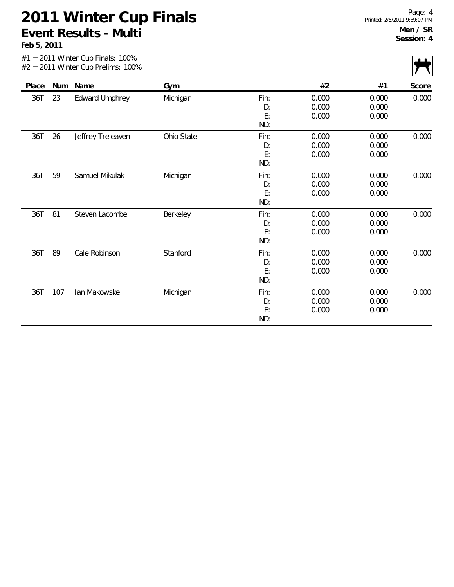|       |     | #1 = 2011 Winter Cup Finals: 100%<br>$#2 = 2011$ Winter Cup Prelims: 100% |            |                         |                         |                         |       |
|-------|-----|---------------------------------------------------------------------------|------------|-------------------------|-------------------------|-------------------------|-------|
| Place | Num | Name                                                                      | Gym        |                         | #2                      | #1                      | Score |
| 36T   | 23  | <b>Edward Umphrey</b>                                                     | Michigan   | Fin:<br>D:<br>E:<br>ND: | 0.000<br>0.000<br>0.000 | 0.000<br>0.000<br>0.000 | 0.000 |
| 36T   | 26  | Jeffrey Treleaven                                                         | Ohio State | Fin:<br>D:<br>E:<br>ND: | 0.000<br>0.000<br>0.000 | 0.000<br>0.000<br>0.000 | 0.000 |
| 36T   | 59  | Samuel Mikulak                                                            | Michigan   | Fin:<br>D:<br>E:<br>ND: | 0.000<br>0.000<br>0.000 | 0.000<br>0.000<br>0.000 | 0.000 |
| 36T   | 81  | Steven Lacombe                                                            | Berkeley   | Fin:<br>D:<br>E:<br>ND: | 0.000<br>0.000<br>0.000 | 0.000<br>0.000<br>0.000 | 0.000 |
| 36T   | 89  | Cale Robinson                                                             | Stanford   | Fin:<br>D:<br>E:<br>ND: | 0.000<br>0.000<br>0.000 | 0.000<br>0.000<br>0.000 | 0.000 |
| 36T   | 107 | lan Makowske                                                              | Michigan   | Fin:<br>D:<br>E:<br>ND: | 0.000<br>0.000<br>0.000 | 0.000<br>0.000<br>0.000 | 0.000 |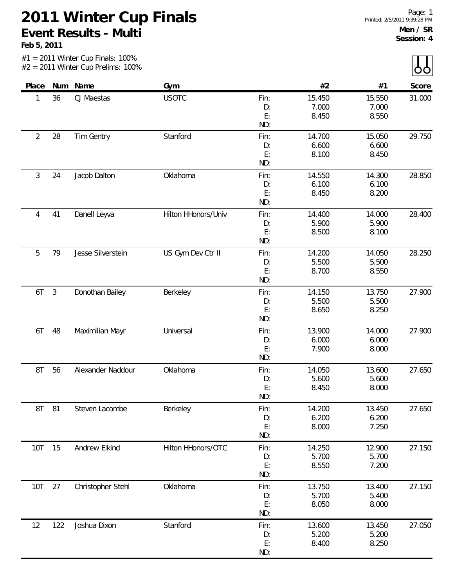|                |                | $#1 = 2011$ Winter Cup Finals: 100%<br>$#2 = 2011$ Winter Cup Prelims: 100% |                     |                         |                          |                          |        |
|----------------|----------------|-----------------------------------------------------------------------------|---------------------|-------------------------|--------------------------|--------------------------|--------|
| Place          |                | Num Name                                                                    | Gym                 |                         | #2                       | #1                       | Score  |
| 1              | 36             | CJ Maestas                                                                  | <b>USOTC</b>        | Fin:<br>D:<br>E:<br>ND: | 15.450<br>7.000<br>8.450 | 15.550<br>7.000<br>8.550 | 31.000 |
| $\overline{2}$ | 28             | Tim Gentry                                                                  | Stanford            | Fin:<br>D:<br>E:<br>ND: | 14.700<br>6.600<br>8.100 | 15.050<br>6.600<br>8.450 | 29.750 |
| $\mathfrak{Z}$ | 24             | Jacob Dalton                                                                | Oklahoma            | Fin:<br>D:<br>E:<br>ND: | 14.550<br>6.100<br>8.450 | 14.300<br>6.100<br>8.200 | 28.850 |
| 4              | 41             | Danell Leyva                                                                | Hilton HHonors/Univ | Fin:<br>D:<br>E:<br>ND: | 14.400<br>5.900<br>8.500 | 14.000<br>5.900<br>8.100 | 28.400 |
| 5              | 79             | Jesse Silverstein                                                           | US Gym Dev Ctr II   | Fin:<br>D:<br>E:<br>ND: | 14.200<br>5.500<br>8.700 | 14.050<br>5.500<br>8.550 | 28.250 |
| 6T             | $\mathfrak{Z}$ | Donothan Bailey                                                             | Berkeley            | Fin:<br>D:<br>E:<br>ND: | 14.150<br>5.500<br>8.650 | 13.750<br>5.500<br>8.250 | 27.900 |
| 6T             | 48             | Maximilian Mayr                                                             | Universal           | Fin:<br>D:<br>E:<br>ND: | 13.900<br>6.000<br>7.900 | 14.000<br>6.000<br>8.000 | 27.900 |
| 8T             | 56             | Alexander Naddour                                                           | Oklahoma            | Fin:<br>D:<br>E:<br>ND: | 14.050<br>5.600<br>8.450 | 13.600<br>5.600<br>8.000 | 27.650 |
| 8T             | 81             | Steven Lacombe                                                              | Berkeley            | Fin:<br>D:<br>E:<br>ND: | 14.200<br>6.200<br>8.000 | 13.450<br>6.200<br>7.250 | 27.650 |
| 10T            | 15             | Andrew Elkind                                                               | Hilton HHonors/OTC  | Fin:<br>D:<br>E:<br>ND: | 14.250<br>5.700<br>8.550 | 12.900<br>5.700<br>7.200 | 27.150 |
| 10T            | 27             | Christopher Stehl                                                           | Oklahoma            | Fin:<br>D:<br>E:<br>ND: | 13.750<br>5.700<br>8.050 | 13.400<br>5.400<br>8.000 | 27.150 |
| 12             | 122            | Joshua Dixon                                                                | Stanford            | Fin:<br>D:<br>E:<br>ND: | 13.600<br>5.200<br>8.400 | 13.450<br>5.200<br>8.250 | 27.050 |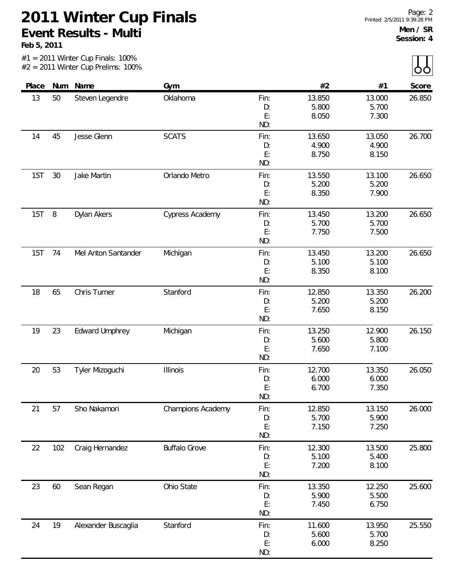|       |     | $#1 = 2011$ Winter Cup Finals: 100%<br>$#2 = 2011$ Winter Cup Prelims: 100% |                      |                         |                          |                          |        |
|-------|-----|-----------------------------------------------------------------------------|----------------------|-------------------------|--------------------------|--------------------------|--------|
| Place | Num | Name                                                                        | Gym                  |                         | #2                       | #1                       | Score  |
| 13    | 50  | Steven Legendre                                                             | Oklahoma             | Fin:<br>D:<br>E:<br>ND: | 13.850<br>5.800<br>8.050 | 13.000<br>5.700<br>7.300 | 26.850 |
| 14    | 45  | Jesse Glenn                                                                 | <b>SCATS</b>         | Fin:<br>D:<br>E:<br>ND: | 13.650<br>4.900<br>8.750 | 13.050<br>4.900<br>8.150 | 26.700 |
| 15T   | 30  | Jake Martin                                                                 | Orlando Metro        | Fin:<br>D:<br>E:<br>ND: | 13.550<br>5.200<br>8.350 | 13.100<br>5.200<br>7.900 | 26.650 |
| 15T   | 8   | Dylan Akers                                                                 | Cypress Academy      | Fin:<br>D:<br>E:<br>ND: | 13.450<br>5.700<br>7.750 | 13.200<br>5.700<br>7.500 | 26.650 |
| 15T   | 74  | Mel Anton Santander                                                         | Michigan             | Fin:<br>D:<br>E:<br>ND: | 13.450<br>5.100<br>8.350 | 13.200<br>5.100<br>8.100 | 26.650 |
| 18    | 65  | Chris Turner                                                                | Stanford             | Fin:<br>D:<br>E:<br>ND: | 12.850<br>5.200<br>7.650 | 13.350<br>5.200<br>8.150 | 26.200 |
| 19    | 23  | <b>Edward Umphrey</b>                                                       | Michigan             | Fin:<br>D:<br>E:<br>ND: | 13.250<br>5.600<br>7.650 | 12.900<br>5.800<br>7.100 | 26.150 |
| 20    | 53  | Tyler Mizoguchi                                                             | Illinois             | Fin:<br>D:<br>E:<br>ND: | 12.700<br>6.000<br>6.700 | 13.350<br>6.000<br>7.350 | 26.050 |
| 21    | 57  | Sho Nakamori                                                                | Champions Academy    | Fin:<br>D:<br>E:<br>ND: | 12.850<br>5.700<br>7.150 | 13.150<br>5.900<br>7.250 | 26.000 |
| 22    | 102 | Craig Hernandez                                                             | <b>Buffalo Grove</b> | Fin:<br>D:<br>E:<br>ND: | 12.300<br>5.100<br>7.200 | 13.500<br>5.400<br>8.100 | 25.800 |
| 23    | 60  | Sean Regan                                                                  | Ohio State           | Fin:<br>D:<br>E:<br>ND: | 13.350<br>5.900<br>7.450 | 12.250<br>5.500<br>6.750 | 25.600 |
| 24    | 19  | Alexander Buscaglia                                                         | Stanford             | Fin:<br>D:<br>E:<br>ND: | 11.600<br>5.600<br>6.000 | 13.950<br>5.700<br>8.250 | 25.550 |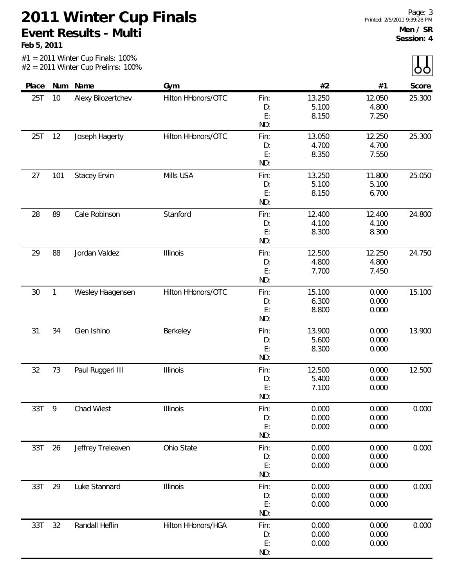| Place |              | Num Name            | Gym                |           | #2     | #1     | Score  |
|-------|--------------|---------------------|--------------------|-----------|--------|--------|--------|
| 25T   | 10           | Alexy Bilozertchev  | Hilton HHonors/OTC | Fin:      | 13.250 | 12.050 | 25.300 |
|       |              |                     |                    | D:        | 5.100  | 4.800  |        |
|       |              |                     |                    | E:        | 8.150  | 7.250  |        |
|       |              |                     |                    | ND:       |        |        |        |
| 25T   | 12           | Joseph Hagerty      | Hilton HHonors/OTC | Fin:      | 13.050 | 12.250 | 25.300 |
|       |              |                     |                    | D:        | 4.700  | 4.700  |        |
|       |              |                     |                    | E:<br>ND: | 8.350  | 7.550  |        |
| 27    | 101          | <b>Stacey Ervin</b> | Mills USA          | Fin:      | 13.250 | 11.800 | 25.050 |
|       |              |                     |                    | D:        | 5.100  | 5.100  |        |
|       |              |                     |                    | E:        | 8.150  | 6.700  |        |
|       |              |                     |                    | ND:       |        |        |        |
| 28    | 89           | Cale Robinson       | Stanford           | Fin:      | 12.400 | 12.400 | 24.800 |
|       |              |                     |                    | D:        | 4.100  | 4.100  |        |
|       |              |                     |                    | E:        | 8.300  | 8.300  |        |
|       |              |                     |                    | ND:       |        |        |        |
| 29    | 88           | Jordan Valdez       | Illinois           | Fin:      | 12.500 | 12.250 | 24.750 |
|       |              |                     |                    | D:        | 4.800  | 4.800  |        |
|       |              |                     |                    | E:        | 7.700  | 7.450  |        |
|       |              |                     |                    | ND:       |        |        |        |
| 30    | $\mathbf{1}$ | Wesley Haagensen    | Hilton HHonors/OTC | Fin:      | 15.100 | 0.000  | 15.100 |
|       |              |                     |                    | D:<br>E:  | 6.300  | 0.000  |        |
|       |              |                     |                    | ND:       | 8.800  | 0.000  |        |
| 31    | 34           | Glen Ishino         | Berkeley           | Fin:      | 13.900 | 0.000  | 13.900 |
|       |              |                     |                    | D:        | 5.600  | 0.000  |        |
|       |              |                     |                    | E:        | 8.300  | 0.000  |        |
|       |              |                     |                    | ND:       |        |        |        |
| 32    | 73           | Paul Ruggeri III    | Illinois           | Fin:      | 12.500 | 0.000  | 12.500 |
|       |              |                     |                    | D:        | 5.400  | 0.000  |        |
|       |              |                     |                    | E:        | 7.100  | 0.000  |        |
|       |              |                     |                    | ND:       |        |        |        |
| 33T   | 9            | Chad Wiest          | Illinois           | Fin:      | 0.000  | 0.000  | 0.000  |
|       |              |                     |                    | D:        | 0.000  | 0.000  |        |
|       |              |                     |                    | E:<br>ND: | 0.000  | 0.000  |        |
| 33T   | 26           | Jeffrey Treleaven   | Ohio State         | Fin:      | 0.000  | 0.000  | 0.000  |
|       |              |                     |                    | D:        | 0.000  | 0.000  |        |
|       |              |                     |                    | E:        | 0.000  | 0.000  |        |
|       |              |                     |                    | ND:       |        |        |        |
| 33T   | 29           | Luke Stannard       | Illinois           | Fin:      | 0.000  | 0.000  | 0.000  |
|       |              |                     |                    | D:        | 0.000  | 0.000  |        |
|       |              |                     |                    | E:        | 0.000  | 0.000  |        |
|       |              |                     |                    | ND:       |        |        |        |
| 33T   | 32           | Randall Heflin      | Hilton HHonors/HGA | Fin:      | 0.000  | 0.000  | 0.000  |
|       |              |                     |                    | D:        | 0.000  | 0.000  |        |
|       |              |                     |                    | E:        | 0.000  | 0.000  |        |
|       |              |                     |                    | ND:       |        |        |        |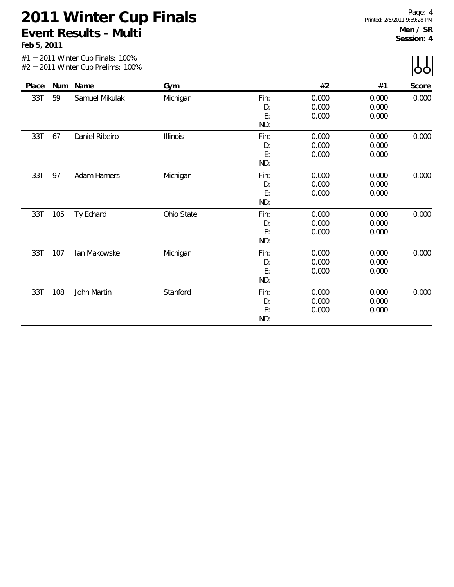|       |     | $#1 = 2011$ Winter Cup Finals: 100%<br>$#2 = 2011$ Winter Cup Prelims: 100% |                 |                         |                         |                         |       |
|-------|-----|-----------------------------------------------------------------------------|-----------------|-------------------------|-------------------------|-------------------------|-------|
| Place | Num | Name                                                                        | Gym             |                         | #2                      | #1                      | Score |
| 33T   | 59  | Samuel Mikulak                                                              | Michigan        | Fin:<br>D:<br>E:<br>ND: | 0.000<br>0.000<br>0.000 | 0.000<br>0.000<br>0.000 | 0.000 |
| 33T   | 67  | Daniel Ribeiro                                                              | <b>Illinois</b> | Fin:<br>D:<br>E:<br>ND: | 0.000<br>0.000<br>0.000 | 0.000<br>0.000<br>0.000 | 0.000 |
| 33T   | 97  | <b>Adam Hamers</b>                                                          | Michigan        | Fin:<br>D:<br>E:<br>ND: | 0.000<br>0.000<br>0.000 | 0.000<br>0.000<br>0.000 | 0.000 |
| 33T   | 105 | Ty Echard                                                                   | Ohio State      | Fin:<br>D:<br>E:<br>ND: | 0.000<br>0.000<br>0.000 | 0.000<br>0.000<br>0.000 | 0.000 |
| 33T   | 107 | lan Makowske                                                                | Michigan        | Fin:<br>D:<br>E:<br>ND: | 0.000<br>0.000<br>0.000 | 0.000<br>0.000<br>0.000 | 0.000 |
| 33T   | 108 | John Martin                                                                 | Stanford        | Fin:<br>D:<br>E:<br>ND: | 0.000<br>0.000<br>0.000 | 0.000<br>0.000<br>0.000 | 0.000 |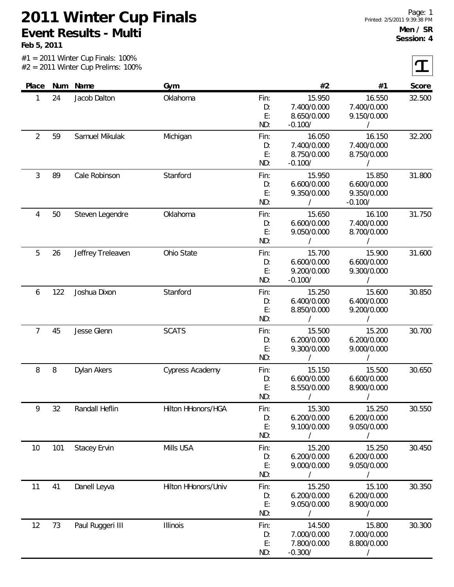#1 = 2011 Winter Cup Finals: 100%

**Feb 5, 2011**

Г.

|                |     | $#2 = 2011$ Winter Cup Prelims: 100% |                     |                         |                                                    |                                                    |        |
|----------------|-----|--------------------------------------|---------------------|-------------------------|----------------------------------------------------|----------------------------------------------------|--------|
| Place          |     | Num Name                             | Gym                 |                         | #2                                                 | #1                                                 | Score  |
| 1              | 24  | Jacob Dalton                         | Oklahoma            | Fin:<br>D:<br>E:<br>ND: | 15.950<br>7.400/0.000<br>8.650/0.000<br>$-0.100/$  | 16.550<br>7.400/0.000<br>9.150/0.000               | 32.500 |
| $\overline{2}$ | 59  | Samuel Mikulak                       | Michigan            | Fin:<br>D:<br>E:<br>ND: | 16.050<br>7.400/0.000<br>8.750/0.000<br>$-0.100/$  | 16.150<br>7.400/0.000<br>8.750/0.000<br>$\sqrt{2}$ | 32.200 |
| 3              | 89  | Cale Robinson                        | Stanford            | Fin:<br>D:<br>E:<br>ND: | 15.950<br>6.600/0.000<br>9.350/0.000<br>$\sqrt{2}$ | 15.850<br>6.600/0.000<br>9.350/0.000<br>$-0.100/$  | 31.800 |
| 4              | 50  | Steven Legendre                      | Oklahoma            | Fin:<br>D:<br>E:<br>ND: | 15.650<br>6.600/0.000<br>9.050/0.000<br>$\prime$   | 16.100<br>7.400/0.000<br>8.700/0.000<br>$\prime$   | 31.750 |
| 5              | 26  | Jeffrey Treleaven                    | Ohio State          | Fin:<br>D:<br>E:<br>ND: | 15.700<br>6.600/0.000<br>9.200/0.000<br>$-0.100/$  | 15.900<br>6.600/0.000<br>9.300/0.000<br>$\sqrt{2}$ | 31.600 |
| 6              | 122 | Joshua Dixon                         | Stanford            | Fin:<br>D:<br>E:<br>ND: | 15.250<br>6.400/0.000<br>8.850/0.000               | 15.600<br>6.400/0.000<br>9.200/0.000<br>$\prime$   | 30.850 |
| $\overline{7}$ | 45  | Jesse Glenn                          | <b>SCATS</b>        | Fin:<br>D:<br>E:<br>ND: | 15.500<br>6.200/0.000<br>9.300/0.000<br>$\sqrt{2}$ | 15.200<br>6.200/0.000<br>9.000/0.000<br>$\sqrt{2}$ | 30.700 |
| 8              | 8   | Dylan Akers                          | Cypress Academy     | Fin:<br>D:<br>E:<br>ND: | 15.150<br>6.600/0.000<br>8.550/0.000               | 15.500<br>6.600/0.000<br>8.900/0.000               | 30.650 |
| 9              | 32  | Randall Heflin                       | Hilton HHonors/HGA  | Fin:<br>D:<br>E:<br>ND: | 15.300<br>6.200/0.000<br>9.100/0.000               | 15.250<br>6.200/0.000<br>9.050/0.000               | 30.550 |
| 10             | 101 | <b>Stacey Ervin</b>                  | Mills USA           | Fin:<br>D:<br>E:<br>ND: | 15.200<br>6.200/0.000<br>9.000/0.000               | 15.250<br>6.200/0.000<br>9.050/0.000               | 30.450 |
| 11             | 41  | Danell Leyva                         | Hilton HHonors/Univ | Fin:<br>D:<br>E:<br>ND: | 15.250<br>6.200/0.000<br>9.050/0.000               | 15.100<br>6.200/0.000<br>8.900/0.000               | 30.350 |
| 12             | 73  | Paul Ruggeri III                     | Illinois            | Fin:<br>D:<br>E:<br>ND: | 14.500<br>7.000/0.000<br>7.800/0.000<br>$-0.300/$  | 15.800<br>7.000/0.000<br>8.800/0.000               | 30.300 |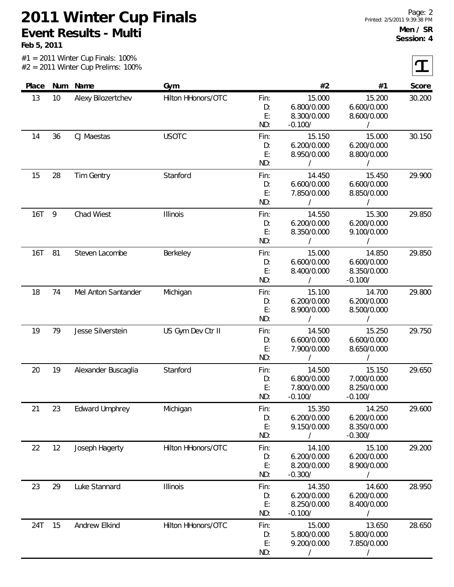**Feb 5, 2011**

 $|\mathbf{T}|$ 

|            |    | zo i i winter oup riemmo. 10076 |                    |                         |                                                   |                                                    |        |
|------------|----|---------------------------------|--------------------|-------------------------|---------------------------------------------------|----------------------------------------------------|--------|
| Place      |    | Num Name                        | Gym                |                         | #2                                                | #1                                                 | Score  |
| 13         | 10 | Alexy Bilozertchev              | Hilton HHonors/OTC | Fin:<br>D:<br>E:<br>ND: | 15.000<br>6.800/0.000<br>8.300/0.000<br>$-0.100/$ | 15.200<br>6.600/0.000<br>8.600/0.000<br>$\sqrt{2}$ | 30.200 |
| 14         | 36 | CJ Maestas                      | <b>USOTC</b>       | Fin:<br>D:<br>E:<br>ND: | 15.150<br>6.200/0.000<br>8.950/0.000<br>$\prime$  | 15.000<br>6.200/0.000<br>8.800/0.000               | 30.150 |
| 15         | 28 | Tim Gentry                      | Stanford           | Fin:<br>D:<br>E:<br>ND: | 14.450<br>6.600/0.000<br>7.850/0.000<br>$\prime$  | 15.450<br>6.600/0.000<br>8.850/0.000               | 29.900 |
| <b>16T</b> | 9  | Chad Wiest                      | Illinois           | Fin:<br>D:<br>E:<br>ND: | 14.550<br>6.200/0.000<br>8.350/0.000<br>$\prime$  | 15.300<br>6.200/0.000<br>9.100/0.000<br>$\prime$   | 29.850 |
| <b>16T</b> | 81 | Steven Lacombe                  | Berkeley           | Fin:<br>D:<br>E:<br>ND: | 15.000<br>6.600/0.000<br>8.400/0.000<br>$\prime$  | 14.850<br>6.600/0.000<br>8.350/0.000<br>$-0.100/$  | 29.850 |
| 18         | 74 | Mel Anton Santander             | Michigan           | Fin:<br>D:<br>E:<br>ND: | 15.100<br>6.200/0.000<br>8.900/0.000<br>$\prime$  | 14.700<br>6.200/0.000<br>8.500/0.000               | 29.800 |
| 19         | 79 | Jesse Silverstein               | US Gym Dev Ctr II  | Fin:<br>D:<br>E:<br>ND: | 14.500<br>6.600/0.000<br>7.900/0.000              | 15.250<br>6.600/0.000<br>8.650/0.000               | 29.750 |
| 20         | 19 | Alexander Buscaglia             | Stanford           | Fin:<br>D:<br>E:<br>ND: | 14.500<br>6.800/0.000<br>7.800/0.000<br>$-0.100/$ | 15.150<br>7.000/0.000<br>8.250/0.000<br>$-0.100/$  | 29.650 |
| 21         | 23 | <b>Edward Umphrey</b>           | Michigan           | Fin:<br>D:<br>E:<br>ND: | 15.350<br>6.200/0.000<br>9.150/0.000<br>$\prime$  | 14.250<br>6.200/0.000<br>8.350/0.000<br>$-0.300/$  | 29.600 |
| 22         | 12 | Joseph Hagerty                  | Hilton HHonors/OTC | Fin:<br>D:<br>E:<br>ND: | 14.100<br>6.200/0.000<br>8.200/0.000<br>$-0.300/$ | 15.100<br>6.200/0.000<br>8.900/0.000               | 29.200 |
| 23         | 29 | Luke Stannard                   | Illinois           | Fin:<br>D:<br>E:<br>ND: | 14.350<br>6.200/0.000<br>8.250/0.000<br>$-0.100/$ | 14.600<br>6.200/0.000<br>8.400/0.000               | 28.950 |
| 24T        | 15 | Andrew Elkind                   | Hilton HHonors/OTC | Fin:<br>D:<br>E:<br>ND: | 15.000<br>5.800/0.000<br>9.200/0.000              | 13.650<br>5.800/0.000<br>7.850/0.000               | 28.650 |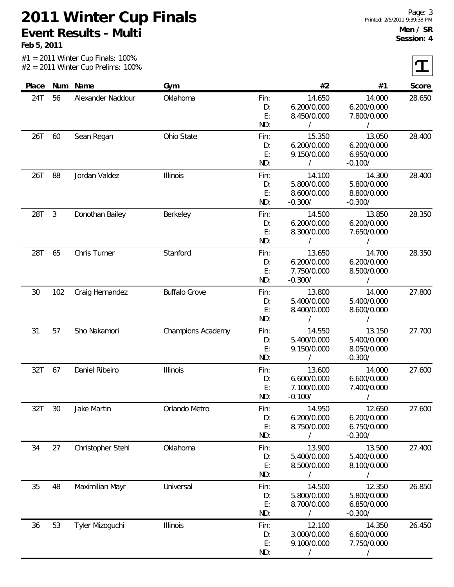**Feb 5, 2011**

 $|\mathbf{T}|$ 

| Place | Num          | Name              | Gym                      |      | #2          | #1          | Score  |
|-------|--------------|-------------------|--------------------------|------|-------------|-------------|--------|
| 24T   | 56           | Alexander Naddour | Oklahoma                 | Fin: | 14.650      | 14.000      | 28.650 |
|       |              |                   |                          | D:   | 6.200/0.000 | 6.200/0.000 |        |
|       |              |                   |                          | E:   | 8.450/0.000 | 7.800/0.000 |        |
|       |              |                   |                          | ND:  | $\prime$    | $\prime$    |        |
| 26T   | 60           | Sean Regan        | Ohio State               | Fin: | 15.350      | 13.050      | 28.400 |
|       |              |                   |                          | D:   | 6.200/0.000 | 6.200/0.000 |        |
|       |              |                   |                          | E:   | 9.150/0.000 | 6.950/0.000 |        |
|       |              |                   |                          | ND:  | $\sqrt{2}$  | $-0.100/$   |        |
| 26T   | 88           | Jordan Valdez     | Illinois                 | Fin: | 14.100      | 14.300      | 28.400 |
|       |              |                   |                          | D:   | 5.800/0.000 | 5.800/0.000 |        |
|       |              |                   |                          | E:   | 8.600/0.000 | 8.800/0.000 |        |
|       |              |                   |                          | ND:  | $-0.300/$   | $-0.300/$   |        |
| 28T   | $\mathbf{3}$ | Donothan Bailey   | Berkeley                 | Fin: | 14.500      | 13.850      | 28.350 |
|       |              |                   |                          | D:   | 6.200/0.000 | 6.200/0.000 |        |
|       |              |                   |                          | E:   | 8.300/0.000 | 7.650/0.000 |        |
|       |              |                   |                          | ND:  |             |             |        |
| 28T   | 65           | Chris Turner      | Stanford                 | Fin: | 13.650      | 14.700      | 28.350 |
|       |              |                   |                          | D:   | 6.200/0.000 | 6.200/0.000 |        |
|       |              |                   |                          | E:   | 7.750/0.000 | 8.500/0.000 |        |
|       |              |                   |                          | ND:  | $-0.300/$   | $\prime$    |        |
| 30    | 102          | Craig Hernandez   | <b>Buffalo Grove</b>     | Fin: | 13.800      | 14.000      | 27.800 |
|       |              |                   |                          | D:   | 5.400/0.000 | 5.400/0.000 |        |
|       |              |                   |                          | E:   | 8.400/0.000 | 8.600/0.000 |        |
|       |              |                   |                          | ND:  | $\prime$    | $\sqrt{2}$  |        |
| 31    | 57           | Sho Nakamori      | <b>Champions Academy</b> | Fin: | 14.550      | 13.150      | 27.700 |
|       |              |                   |                          | D:   | 5.400/0.000 | 5.400/0.000 |        |
|       |              |                   |                          | E:   | 9.150/0.000 | 8.050/0.000 |        |
|       |              |                   |                          | ND:  | $\prime$    | $-0.300/$   |        |
| 32T   | 67           | Daniel Ribeiro    | Illinois                 | Fin: | 13.600      | 14.000      | 27.600 |
|       |              |                   |                          | D:   | 6.600/0.000 | 6.600/0.000 |        |
|       |              |                   |                          | E:   | 7.100/0.000 | 7.400/0.000 |        |
|       |              |                   |                          | ND:  | $-0.100/$   |             |        |
| 32T   | 30           | Jake Martin       | Orlando Metro            | Fin: | 14.950      | 12.650      | 27.600 |
|       |              |                   |                          | D:   | 6.200/0.000 | 6.200/0.000 |        |
|       |              |                   |                          | E:   | 8.750/0.000 | 6.750/0.000 |        |
|       |              |                   |                          | ND:  |             | $-0.300/$   |        |
| 34    | 27           | Christopher Stehl | Oklahoma                 | Fin: | 13.900      | 13.500      | 27.400 |
|       |              |                   |                          | D:   | 5.400/0.000 | 5.400/0.000 |        |
|       |              |                   |                          | E:   | 8.500/0.000 | 8.100/0.000 |        |
|       |              |                   |                          | ND:  |             |             |        |
| 35    | 48           | Maximilian Mayr   | Universal                | Fin: | 14.500      | 12.350      | 26.850 |
|       |              |                   |                          | D:   | 5.800/0.000 | 5.800/0.000 |        |
|       |              |                   |                          | E:   | 8.700/0.000 | 6.850/0.000 |        |
|       |              |                   |                          | ND:  |             | $-0.300/$   |        |
| 36    | 53           | Tyler Mizoguchi   | <b>Illinois</b>          | Fin: | 12.100      | 14.350      | 26.450 |
|       |              |                   |                          | D:   | 3.000/0.000 | 6.600/0.000 |        |
|       |              |                   |                          | E:   | 9.100/0.000 | 7.750/0.000 |        |
|       |              |                   |                          | ND:  |             |             |        |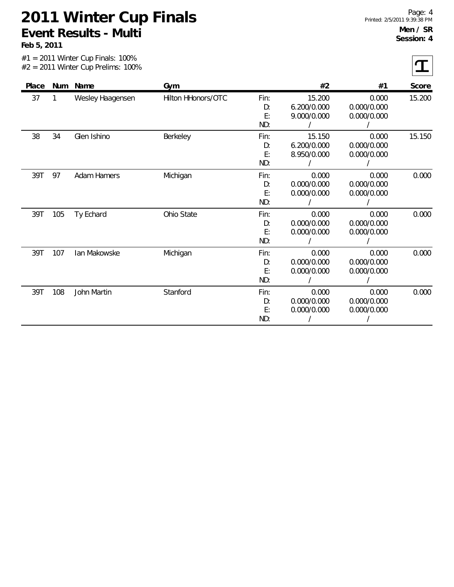|       |     | $#1 = 2011$ Winter Cup Finals: 100%<br>$#2 = 2011$ Winter Cup Prelims: 100% |                    |                         |                                      |                                     |        |
|-------|-----|-----------------------------------------------------------------------------|--------------------|-------------------------|--------------------------------------|-------------------------------------|--------|
| Place |     | Num Name                                                                    | Gym                |                         | #2                                   | #1                                  | Score  |
| 37    | 1   | Wesley Haagensen                                                            | Hilton HHonors/OTC | Fin:<br>D:<br>E:<br>ND: | 15.200<br>6.200/0.000<br>9.000/0.000 | 0.000<br>0.000/0.000<br>0.000/0.000 | 15.200 |
| 38    | 34  | Glen Ishino                                                                 | Berkeley           | Fin:<br>D:<br>E:<br>ND: | 15.150<br>6.200/0.000<br>8.950/0.000 | 0.000<br>0.000/0.000<br>0.000/0.000 | 15.150 |
| 39T   | 97  | <b>Adam Hamers</b>                                                          | Michigan           | Fin:<br>D:<br>E:<br>ND: | 0.000<br>0.000/0.000<br>0.000/0.000  | 0.000<br>0.000/0.000<br>0.000/0.000 | 0.000  |
| 39T   | 105 | Ty Echard                                                                   | Ohio State         | Fin:<br>D:<br>E:<br>ND: | 0.000<br>0.000/0.000<br>0.000/0.000  | 0.000<br>0.000/0.000<br>0.000/0.000 | 0.000  |
| 39T   | 107 | lan Makowske                                                                | Michigan           | Fin:<br>D:<br>E:<br>ND: | 0.000<br>0.000/0.000<br>0.000/0.000  | 0.000<br>0.000/0.000<br>0.000/0.000 | 0.000  |
| 39T   | 108 | John Martin                                                                 | Stanford           | Fin:<br>D:<br>E:<br>ND: | 0.000<br>0.000/0.000<br>0.000/0.000  | 0.000<br>0.000/0.000<br>0.000/0.000 | 0.000  |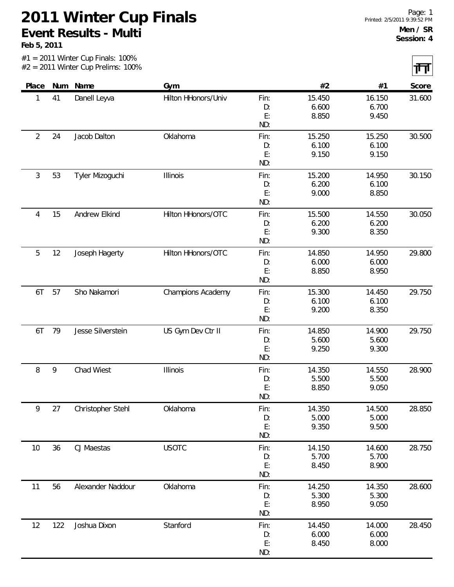#1 = 2011 Winter Cup Finals: 100%

**Feb 5, 2011**

 $\mathbf{I}$ 

|                |     | $#2 = 2011$ Winter Cup Prelims: 100% |                          |            |        |        | ग॑⊤।   |
|----------------|-----|--------------------------------------|--------------------------|------------|--------|--------|--------|
| Place          | Num | Name                                 | Gym                      |            | #2     | #1     | Score  |
| 1              | 41  | Danell Leyva                         | Hilton HHonors/Univ      | Fin:       | 15.450 | 16.150 | 31.600 |
|                |     |                                      |                          | D:         | 6.600  | 6.700  |        |
|                |     |                                      |                          | E:         | 8.850  | 9.450  |        |
| $\overline{2}$ | 24  | Jacob Dalton                         | Oklahoma                 | ND:        | 15.250 | 15.250 | 30.500 |
|                |     |                                      |                          | Fin:<br>D: | 6.100  | 6.100  |        |
|                |     |                                      |                          | E:         | 9.150  | 9.150  |        |
|                |     |                                      |                          | ND:        |        |        |        |
| 3              | 53  | Tyler Mizoguchi                      | <b>Illinois</b>          | Fin:       | 15.200 | 14.950 | 30.150 |
|                |     |                                      |                          | D:         | 6.200  | 6.100  |        |
|                |     |                                      |                          | E:         | 9.000  | 8.850  |        |
|                |     |                                      |                          | ND:        |        |        |        |
| 4              | 15  | Andrew Elkind                        | Hilton HHonors/OTC       | Fin:       | 15.500 | 14.550 | 30.050 |
|                |     |                                      |                          | D:         | 6.200  | 6.200  |        |
|                |     |                                      |                          | E:         | 9.300  | 8.350  |        |
|                |     |                                      |                          | ND:        |        |        |        |
| 5              | 12  | Joseph Hagerty                       | Hilton HHonors/OTC       | Fin:       | 14.850 | 14.950 | 29.800 |
|                |     |                                      |                          | D:         | 6.000  | 6.000  |        |
|                |     |                                      |                          | E:         | 8.850  | 8.950  |        |
|                |     |                                      |                          | ND:        |        |        |        |
| 6T             | 57  | Sho Nakamori                         | <b>Champions Academy</b> | Fin:       | 15.300 | 14.450 | 29.750 |
|                |     |                                      |                          | D:         | 6.100  | 6.100  |        |
|                |     |                                      |                          | E:         | 9.200  | 8.350  |        |
|                |     |                                      |                          | ND:        |        |        |        |
| 6T             | 79  | Jesse Silverstein                    | US Gym Dev Ctr II        | Fin:       | 14.850 | 14.900 | 29.750 |
|                |     |                                      |                          | D:         | 5.600  | 5.600  |        |
|                |     |                                      |                          | E:         | 9.250  | 9.300  |        |
|                |     |                                      |                          | ND:        |        |        |        |
| 8              | 9   | Chad Wiest                           | Illinois                 | Fin:       | 14.350 | 14.550 | 28.900 |
|                |     |                                      |                          | D:         | 5.500  | 5.500  |        |
|                |     |                                      |                          | E:         | 8.850  | 9.050  |        |
|                |     |                                      |                          | ND:        |        |        |        |
| 9              | 27  | Christopher Stehl                    | Oklahoma                 | Fin:       | 14.350 | 14.500 | 28.850 |
|                |     |                                      |                          | D:         | 5.000  | 5.000  |        |
|                |     |                                      |                          | E:         | 9.350  | 9.500  |        |
|                |     |                                      |                          | ND:        |        |        |        |
| 10             | 36  | CJ Maestas                           | <b>USOTC</b>             | Fin:       | 14.150 | 14.600 | 28.750 |
|                |     |                                      |                          | D:         | 5.700  | 5.700  |        |
|                |     |                                      |                          | E:         | 8.450  | 8.900  |        |
|                |     |                                      |                          | ND:        |        |        |        |
| 11             | 56  | Alexander Naddour                    | Oklahoma                 | Fin:       | 14.250 | 14.350 | 28.600 |
|                |     |                                      |                          | D:         | 5.300  | 5.300  |        |
|                |     |                                      |                          | E:         | 8.950  | 9.050  |        |
|                |     |                                      |                          | ND:        |        |        |        |
| 12             | 122 | Joshua Dixon                         | Stanford                 | Fin:       | 14.450 | 14.000 | 28.450 |
|                |     |                                      |                          | D:         | 6.000  | 6.000  |        |
|                |     |                                      |                          | E:         | 8.450  | 8.000  |        |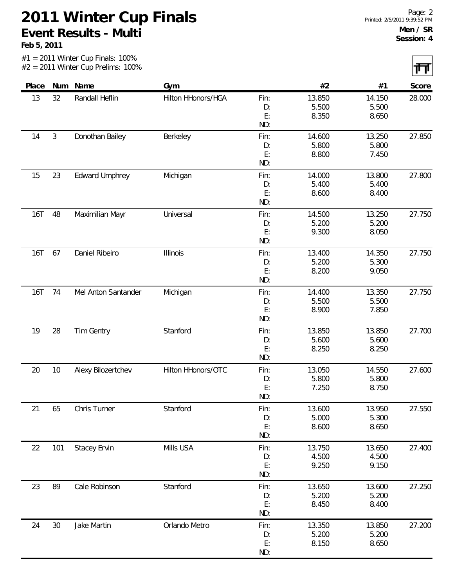#1 = 2011 Winter Cup Finals: 100%

**Feb 5, 2011**

 $\mathbf{I}$ 

|            |        | $#2 = 2011$ Winter Cup Prelims: 100% |                    |           |                 |                 | ग॑⊤।   |
|------------|--------|--------------------------------------|--------------------|-----------|-----------------|-----------------|--------|
| Place      | Num    | Name                                 | Gym                |           | #2              | #1              | Score  |
| 13         | 32     | Randall Heflin                       | Hilton HHonors/HGA | Fin:      | 13.850          | 14.150          | 28.000 |
|            |        |                                      |                    | D:        | 5.500           | 5.500           |        |
|            |        |                                      |                    | E:<br>ND: | 8.350           | 8.650           |        |
| 14         | 3      | Donothan Bailey                      | Berkeley           | Fin:      | 14.600          | 13.250          | 27.850 |
|            |        |                                      |                    | D:        | 5.800           | 5.800           |        |
|            |        |                                      |                    | E:        | 8.800           | 7.450           |        |
|            |        |                                      |                    | ND:       |                 |                 |        |
| 15         | 23     | <b>Edward Umphrey</b>                | Michigan           | Fin:      | 14.000          | 13.800          | 27.800 |
|            |        |                                      |                    | D:        | 5.400           | 5.400           |        |
|            |        |                                      |                    | E:        | 8.600           | 8.400           |        |
|            |        |                                      |                    | ND:       |                 |                 |        |
| <b>16T</b> | 48     | Maximilian Mayr                      | Universal          | Fin:      | 14.500<br>5.200 | 13.250<br>5.200 | 27.750 |
|            |        |                                      |                    | D:<br>E:  | 9.300           | 8.050           |        |
|            |        |                                      |                    | ND:       |                 |                 |        |
| <b>16T</b> | 67     | Daniel Ribeiro                       | <b>Illinois</b>    | Fin:      | 13.400          | 14.350          | 27.750 |
|            |        |                                      |                    | D:        | 5.200           | 5.300           |        |
|            |        |                                      |                    | E:        | 8.200           | 9.050           |        |
|            |        |                                      |                    | ND:       |                 |                 |        |
| 16T        | 74     | Mel Anton Santander                  | Michigan           | Fin:      | 14.400          | 13.350          | 27.750 |
|            |        |                                      |                    | D:        | 5.500           | 5.500           |        |
|            |        |                                      |                    | E:        | 8.900           | 7.850           |        |
|            |        |                                      |                    | ND:       |                 |                 |        |
| 19         | 28     | Tim Gentry                           | Stanford           | Fin:      | 13.850          | 13.850          | 27.700 |
|            |        |                                      |                    | D:        | 5.600           | 5.600           |        |
|            |        |                                      |                    | E:        | 8.250           | 8.250           |        |
|            |        |                                      |                    | ND:       |                 |                 |        |
| 20         | 10     | Alexy Bilozertchev                   | Hilton HHonors/OTC | Fin:      | 13.050          | 14.550          | 27.600 |
|            |        |                                      |                    | D:        | 5.800           | 5.800           |        |
|            |        |                                      |                    | E:        | 7.250           | 8.750           |        |
|            |        |                                      |                    | ND:       |                 |                 |        |
| 21         | 65     | Chris Turner                         | Stanford           | Fin:      | 13.600          | 13.950          | 27.550 |
|            |        |                                      |                    | D:        | 5.000           | 5.300           |        |
|            |        |                                      |                    | E:        | 8.600           | 8.650           |        |
|            |        |                                      |                    | ND:       |                 |                 |        |
| 22         | 101    | <b>Stacey Ervin</b>                  | Mills USA          | Fin:      | 13.750          | 13.650          | 27.400 |
|            |        |                                      |                    | D:        | 4.500           | 4.500           |        |
|            |        |                                      |                    | E:        | 9.250           | 9.150           |        |
|            |        |                                      |                    | ND:       |                 |                 |        |
| 23         | 89     | Cale Robinson                        | Stanford           | Fin:      | 13.650          | 13.600          | 27.250 |
|            |        |                                      |                    | D:        | 5.200           | 5.200           |        |
|            |        |                                      |                    | E:<br>ND: | 8.450           | 8.400           |        |
|            |        |                                      |                    |           |                 |                 |        |
| 24         | $30\,$ | Jake Martin                          | Orlando Metro      | Fin:      | 13.350          | 13.850          | 27.200 |
|            |        |                                      |                    | D:<br>E:  | 5.200<br>8.150  | 5.200<br>8.650  |        |
|            |        |                                      |                    |           |                 |                 |        |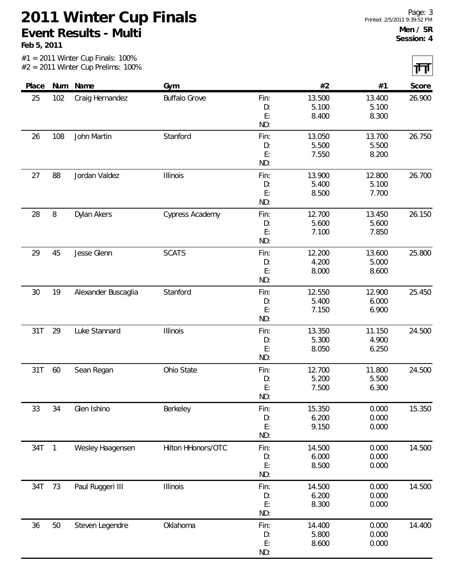#1 = 2011 Winter Cup Finals: 100%

**Feb 5, 2011**

Г

|       |                          | $#2 = 2011$ Winter Cup Prelims: 100% |                      |          |                |                | गंग    |
|-------|--------------------------|--------------------------------------|----------------------|----------|----------------|----------------|--------|
| Place |                          | Num Name                             | Gym                  |          | #2             | #1             | Score  |
| 25    | 102                      | Craig Hernandez                      | <b>Buffalo Grove</b> | Fin:     | 13.500         | 13.400         | 26.900 |
|       |                          |                                      |                      | D:       | 5.100          | 5.100          |        |
|       |                          |                                      |                      | E:       | 8.400          | 8.300          |        |
|       |                          |                                      |                      | ND:      |                |                |        |
| 26    | 108                      | John Martin                          | Stanford             | Fin:     | 13.050         | 13.700         | 26.750 |
|       |                          |                                      |                      | D:       | 5.500          | 5.500          |        |
|       |                          |                                      |                      | E:       | 7.550          | 8.200          |        |
|       |                          |                                      |                      | ND:      |                |                |        |
| 27    | 88                       | Jordan Valdez                        | Illinois             | Fin:     | 13.900         | 12.800         | 26.700 |
|       |                          |                                      |                      | D:       | 5.400          | 5.100          |        |
|       |                          |                                      |                      | E:       | 8.500          | 7.700          |        |
|       |                          |                                      |                      | ND:      |                |                |        |
| 28    | $\, 8$                   | Dylan Akers                          | Cypress Academy      | Fin:     | 12.700         | 13.450         | 26.150 |
|       |                          |                                      |                      | D:       | 5.600          | 5.600          |        |
|       |                          |                                      |                      | E:       | 7.100          | 7.850          |        |
|       |                          |                                      |                      | ND:      |                |                |        |
| 29    | 45                       | Jesse Glenn                          | <b>SCATS</b>         | Fin:     | 12.200         | 13.600         | 25.800 |
|       |                          |                                      |                      | D:       | 4.200          | 5.000          |        |
|       |                          |                                      |                      | E:       | 8.000          | 8.600          |        |
|       |                          |                                      |                      | ND:      |                |                |        |
| 30    | 19                       | Alexander Buscaglia                  | Stanford             | Fin:     | 12.550         | 12.900         | 25.450 |
|       |                          |                                      |                      | D:       | 5.400          | 6.000          |        |
|       |                          |                                      |                      | E:       | 7.150          | 6.900          |        |
|       |                          |                                      |                      | ND:      |                |                |        |
| 31T   | 29                       | Luke Stannard                        | Illinois             | Fin:     | 13.350         | 11.150         | 24.500 |
|       |                          |                                      |                      | D:       | 5.300          | 4.900          |        |
|       |                          |                                      |                      | E:       | 8.050          | 6.250          |        |
|       |                          |                                      |                      | ND:      |                |                |        |
| 31T   | 60                       | Sean Regan                           | Ohio State           | Fin:     | 12.700         | 11.800         | 24.500 |
|       |                          |                                      |                      | D:       | 5.200          | 5.500          |        |
|       |                          |                                      |                      | E:       | 7.500          | 6.300          |        |
|       |                          |                                      |                      | ND:      |                |                |        |
| 33    | 34                       | Glen Ishino                          | Berkeley             | Fin:     | 15.350         | 0.000          | 15.350 |
|       |                          |                                      |                      | D:       | 6.200          | 0.000          |        |
|       |                          |                                      |                      | E:       | 9.150          | 0.000          |        |
|       |                          |                                      |                      | ND:      |                |                |        |
| 34T   | $\overline{\phantom{1}}$ | Wesley Haagensen                     | Hilton HHonors/OTC   | Fin:     | 14.500         | 0.000          | 14.500 |
|       |                          |                                      |                      | D:       | 6.000          | 0.000          |        |
|       |                          |                                      |                      | E:       | 8.500          | 0.000          |        |
|       |                          |                                      |                      | ND:      |                |                |        |
| 34T   | 73                       | Paul Ruggeri III                     | <b>Illinois</b>      | Fin:     | 14.500         | 0.000          | 14.500 |
|       |                          |                                      |                      | D:       | 6.200          | 0.000          |        |
|       |                          |                                      |                      | E:       | 8.300          | 0.000          |        |
|       |                          |                                      |                      | ND:      |                |                |        |
|       |                          |                                      |                      |          |                |                |        |
| 36    | 50                       | Steven Legendre                      | Oklahoma             | Fin:     | 14.400         | 0.000<br>0.000 | 14.400 |
|       |                          |                                      |                      | D:<br>E: | 5.800<br>8.600 | 0.000          |        |
|       |                          |                                      |                      |          |                |                |        |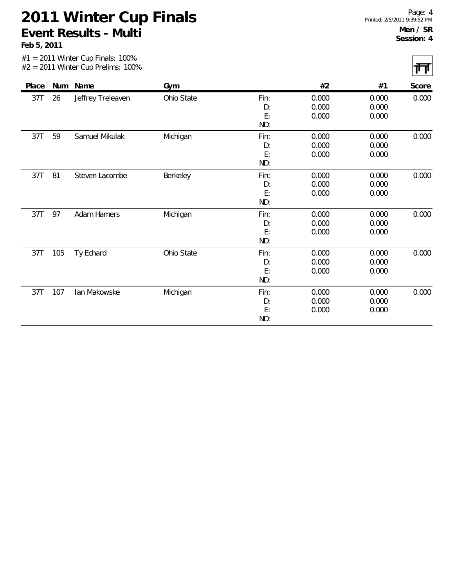|       |     | $#1 = 2011$ Winter Cup Finals: 100%<br>$#2 = 2011$ Winter Cup Prelims: 100% |            |                         |                         |                         | ĻЦ    |
|-------|-----|-----------------------------------------------------------------------------|------------|-------------------------|-------------------------|-------------------------|-------|
| Place | Num | Name                                                                        | Gym        |                         | #2                      | #1                      | Score |
| 37T   | 26  | Jeffrey Treleaven                                                           | Ohio State | Fin:<br>D:<br>E:<br>ND: | 0.000<br>0.000<br>0.000 | 0.000<br>0.000<br>0.000 | 0.000 |
| 37T   | 59  | Samuel Mikulak                                                              | Michigan   | Fin:<br>D:<br>E:<br>ND: | 0.000<br>0.000<br>0.000 | 0.000<br>0.000<br>0.000 | 0.000 |
| 37T   | 81  | Steven Lacombe                                                              | Berkeley   | Fin:<br>D:<br>E:<br>ND: | 0.000<br>0.000<br>0.000 | 0.000<br>0.000<br>0.000 | 0.000 |
| 37T   | 97  | <b>Adam Hamers</b>                                                          | Michigan   | Fin:<br>D:<br>E:<br>ND: | 0.000<br>0.000<br>0.000 | 0.000<br>0.000<br>0.000 | 0.000 |
| 37T   | 105 | Ty Echard                                                                   | Ohio State | Fin:<br>D:<br>E:<br>ND: | 0.000<br>0.000<br>0.000 | 0.000<br>0.000<br>0.000 | 0.000 |
| 37T   | 107 | Ian Makowske                                                                | Michigan   | Fin:<br>D:<br>E:<br>ND: | 0.000<br>0.000<br>0.000 | 0.000<br>0.000<br>0.000 | 0.000 |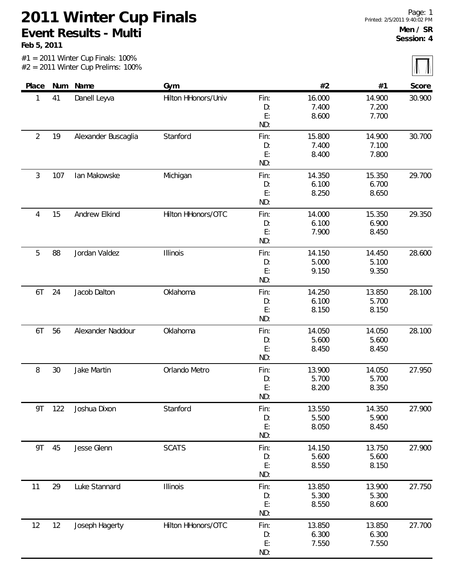#1 = 2011 Winter Cup Finals: 100%

**Feb 5, 2011**

| Place          |     | Num Name            | Gym                 |            | #2             | #1             | Score  |
|----------------|-----|---------------------|---------------------|------------|----------------|----------------|--------|
| 1              | 41  | Danell Leyva        | Hilton HHonors/Univ | Fin:       | 16.000         | 14.900         | 30.900 |
|                |     |                     |                     | D:         | 7.400          | 7.200          |        |
|                |     |                     |                     | E:         | 8.600          | 7.700          |        |
|                |     |                     |                     | ND:        |                |                |        |
| $\overline{2}$ | 19  | Alexander Buscaglia | Stanford            | Fin:       | 15.800         | 14.900         | 30.700 |
|                |     |                     |                     | D:         | 7.400          | 7.100          |        |
|                |     |                     |                     | E:         | 8.400          | 7.800          |        |
|                |     |                     |                     | ND:        |                |                |        |
| $\mathfrak{Z}$ | 107 | Ian Makowske        | Michigan            | Fin:       | 14.350         | 15.350         | 29.700 |
|                |     |                     |                     | D:         | 6.100          | 6.700          |        |
|                |     |                     |                     | E:         | 8.250          | 8.650          |        |
|                |     |                     |                     | ND:        |                |                |        |
| 4              | 15  | Andrew Elkind       | Hilton HHonors/OTC  | Fin:       | 14.000         | 15.350         | 29.350 |
|                |     |                     |                     | D:         | 6.100          | 6.900          |        |
|                |     |                     |                     | E:         | 7.900          | 8.450          |        |
|                |     |                     |                     | ND:        |                |                |        |
| 5              | 88  | Jordan Valdez       | Illinois            | Fin:       | 14.150         | 14.450         | 28.600 |
|                |     |                     |                     | D:         | 5.000          | 5.100          |        |
|                |     |                     |                     | E:         | 9.150          | 9.350          |        |
|                |     |                     |                     | ND:        |                |                |        |
| 6T             | 24  | Jacob Dalton        | Oklahoma            | Fin:       | 14.250         | 13.850         | 28.100 |
|                |     |                     |                     | D:         | 6.100          | 5.700          |        |
|                |     |                     |                     | E:<br>ND:  | 8.150          | 8.150          |        |
|                |     |                     |                     |            |                |                |        |
| 6T             | 56  | Alexander Naddour   | Oklahoma            | Fin:       | 14.050         | 14.050         | 28.100 |
|                |     |                     |                     | D:<br>E:   | 5.600<br>8.450 | 5.600<br>8.450 |        |
|                |     |                     |                     | ND:        |                |                |        |
| 8              | 30  | Jake Martin         | Orlando Metro       |            | 13.900         | 14.050         | 27.950 |
|                |     |                     |                     | Fin:<br>D: | 5.700          | 5.700          |        |
|                |     |                     |                     | E:         | 8.200          | 8.350          |        |
|                |     |                     |                     | ND:        |                |                |        |
| 9T             | 122 | Joshua Dixon        | Stanford            | Fin:       | 13.550         | 14.350         | 27.900 |
|                |     |                     |                     | D:         | 5.500          | 5.900          |        |
|                |     |                     |                     | E:         | 8.050          | 8.450          |        |
|                |     |                     |                     | ND:        |                |                |        |
| 9T             | 45  | Jesse Glenn         | <b>SCATS</b>        | Fin:       | 14.150         | 13.750         | 27.900 |
|                |     |                     |                     | D:         | 5.600          | 5.600          |        |
|                |     |                     |                     | E:         | 8.550          | 8.150          |        |
|                |     |                     |                     | ND:        |                |                |        |
| 11             | 29  | Luke Stannard       | Illinois            | Fin:       | 13.850         | 13.900         | 27.750 |
|                |     |                     |                     | D:         | 5.300          | 5.300          |        |
|                |     |                     |                     | E:         | 8.550          | 8.600          |        |
|                |     |                     |                     | ND:        |                |                |        |
| 12             | 12  | Joseph Hagerty      | Hilton HHonors/OTC  | Fin:       | 13.850         | 13.850         | 27.700 |
|                |     |                     |                     | D:         | 6.300          | 6.300          |        |
|                |     |                     |                     | E:         | 7.550          | 7.550          |        |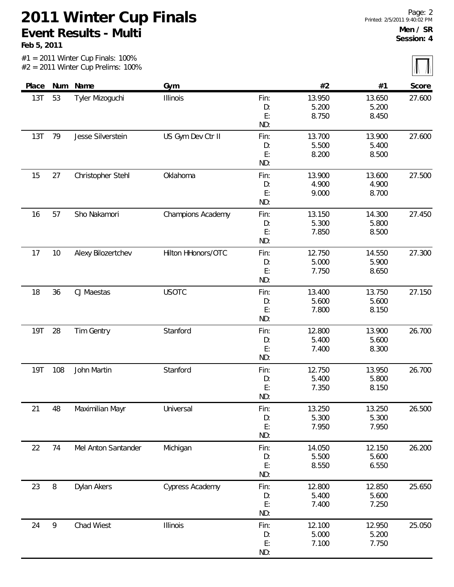|            |     | $#1 = 2011$ Winter Cup Finals: 100%<br>$#2 = 2011$ Winter Cup Prelims: 100% |                    |                         |                          |                          |        |
|------------|-----|-----------------------------------------------------------------------------|--------------------|-------------------------|--------------------------|--------------------------|--------|
| Place      |     | Num Name                                                                    | Gym                |                         | #2                       | #1                       | Score  |
| 13T        | 53  | Tyler Mizoguchi                                                             | Illinois           | Fin:<br>D:<br>E:<br>ND: | 13.950<br>5.200<br>8.750 | 13.650<br>5.200<br>8.450 | 27.600 |
| 13T        | 79  | Jesse Silverstein                                                           | US Gym Dev Ctr II  | Fin:<br>D:<br>E:<br>ND: | 13.700<br>5.500<br>8.200 | 13.900<br>5.400<br>8.500 | 27.600 |
| 15         | 27  | Christopher Stehl                                                           | Oklahoma           | Fin:<br>D:<br>E:<br>ND: | 13.900<br>4.900<br>9.000 | 13.600<br>4.900<br>8.700 | 27.500 |
| 16         | 57  | Sho Nakamori                                                                | Champions Academy  | Fin:<br>D:<br>E:<br>ND: | 13.150<br>5.300<br>7.850 | 14.300<br>5.800<br>8.500 | 27.450 |
| 17         | 10  | Alexy Bilozertchev                                                          | Hilton HHonors/OTC | Fin:<br>D:<br>E:<br>ND: | 12.750<br>5.000<br>7.750 | 14.550<br>5.900<br>8.650 | 27.300 |
| 18         | 36  | CJ Maestas                                                                  | <b>USOTC</b>       | Fin:<br>D:<br>E:<br>ND: | 13.400<br>5.600<br>7.800 | 13.750<br>5.600<br>8.150 | 27.150 |
| <b>19T</b> | 28  | Tim Gentry                                                                  | Stanford           | Fin:<br>D:<br>E:<br>ND: | 12.800<br>5.400<br>7.400 | 13.900<br>5.600<br>8.300 | 26.700 |
| <b>19T</b> | 108 | John Martin                                                                 | Stanford           | Fin:<br>D:<br>E:<br>ND: | 12.750<br>5.400<br>7.350 | 13.950<br>5.800<br>8.150 | 26.700 |
| 21         | 48  | Maximilian Mayr                                                             | Universal          | Fin:<br>D:<br>E:<br>ND: | 13.250<br>5.300<br>7.950 | 13.250<br>5.300<br>7.950 | 26.500 |
| 22         | 74  | Mel Anton Santander                                                         | Michigan           | Fin:<br>D:<br>E:<br>ND: | 14.050<br>5.500<br>8.550 | 12.150<br>5.600<br>6.550 | 26.200 |
| 23         | 8   | Dylan Akers                                                                 | Cypress Academy    | Fin:<br>D:<br>E:<br>ND: | 12.800<br>5.400<br>7.400 | 12.850<br>5.600<br>7.250 | 25.650 |
| 24         | 9   | Chad Wiest                                                                  | Illinois           | Fin:<br>D:<br>E:<br>ND: | 12.100<br>5.000<br>7.100 | 12.950<br>5.200<br>7.750 | 25.050 |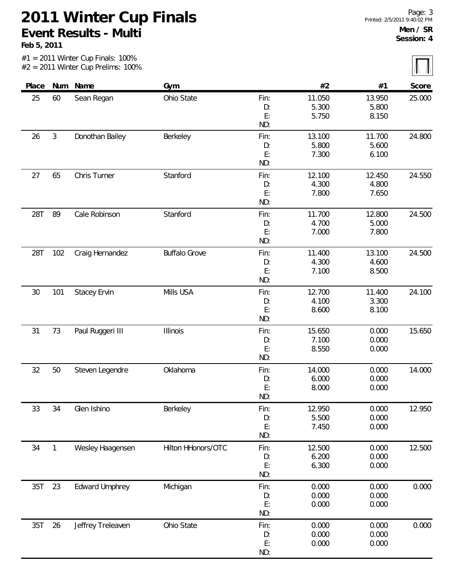#1 = 2011 Winter Cup Finals: 100%

| Place |                | Num Name              | Gym                  |           | #2     | #1     | Score  |
|-------|----------------|-----------------------|----------------------|-----------|--------|--------|--------|
| 25    | 60             | Sean Regan            | Ohio State           | Fin:      | 11.050 | 13.950 | 25.000 |
|       |                |                       |                      | D:        | 5.300  | 5.800  |        |
|       |                |                       |                      | E:        | 5.750  | 8.150  |        |
|       |                |                       |                      | ND:       |        |        |        |
| 26    | $\mathfrak{Z}$ | Donothan Bailey       | Berkeley             | Fin:      | 13.100 | 11.700 | 24.800 |
|       |                |                       |                      | D:        | 5.800  | 5.600  |        |
|       |                |                       |                      | E:        | 7.300  | 6.100  |        |
|       |                |                       |                      | ND:       |        |        |        |
| 27    | 65             | Chris Turner          | Stanford             | Fin:      | 12.100 | 12.450 | 24.550 |
|       |                |                       |                      | D:        | 4.300  | 4.800  |        |
|       |                |                       |                      | E:        | 7.800  | 7.650  |        |
|       |                |                       |                      | ND:       |        |        |        |
| 28T   | 89             | Cale Robinson         | Stanford             | Fin:      | 11.700 | 12.800 | 24.500 |
|       |                |                       |                      | D:        | 4.700  | 5.000  |        |
|       |                |                       |                      | E:        | 7.000  | 7.800  |        |
|       |                |                       |                      | ND:       |        |        |        |
| 28T   | 102            | Craig Hernandez       | <b>Buffalo Grove</b> | Fin:      | 11.400 | 13.100 | 24.500 |
|       |                |                       |                      | D:        | 4.300  | 4.600  |        |
|       |                |                       |                      | E:<br>ND: | 7.100  | 8.500  |        |
|       |                |                       |                      |           |        |        |        |
| 30    | 101            | <b>Stacey Ervin</b>   | Mills USA            | Fin:      | 12.700 | 11.400 | 24.100 |
|       |                |                       |                      | D:        | 4.100  | 3.300  |        |
|       |                |                       |                      | E:        | 8.600  | 8.100  |        |
|       |                |                       |                      | ND:       |        |        |        |
| 31    | 73             | Paul Ruggeri III      | Illinois             | Fin:      | 15.650 | 0.000  | 15.650 |
|       |                |                       |                      | D:        | 7.100  | 0.000  |        |
|       |                |                       |                      | E:<br>ND: | 8.550  | 0.000  |        |
| 32    | 50             | Steven Legendre       | Oklahoma             | Fin:      | 14.000 | 0.000  | 14.000 |
|       |                |                       |                      | D:        | 6.000  | 0.000  |        |
|       |                |                       |                      | E:        | 8.000  | 0.000  |        |
|       |                |                       |                      | ND:       |        |        |        |
| 33    | 34             | Glen Ishino           | Berkeley             | Fin:      | 12.950 | 0.000  | 12.950 |
|       |                |                       |                      | D:        | 5.500  | 0.000  |        |
|       |                |                       |                      | E:        | 7.450  | 0.000  |        |
|       |                |                       |                      | ND:       |        |        |        |
| 34    | $\mathbf{1}$   | Wesley Haagensen      | Hilton HHonors/OTC   | Fin:      | 12.500 | 0.000  | 12.500 |
|       |                |                       |                      | D:        | 6.200  | 0.000  |        |
|       |                |                       |                      | E:        | 6.300  | 0.000  |        |
|       |                |                       |                      | ND:       |        |        |        |
| 35T   | 23             | <b>Edward Umphrey</b> | Michigan             | Fin:      | 0.000  | 0.000  | 0.000  |
|       |                |                       |                      | D:        | 0.000  | 0.000  |        |
|       |                |                       |                      | E:        | 0.000  | 0.000  |        |
|       |                |                       |                      | ND:       |        |        |        |
| 35T   | 26             | Jeffrey Treleaven     | Ohio State           | Fin:      | 0.000  | 0.000  | 0.000  |
|       |                |                       |                      | D:        | 0.000  | 0.000  |        |
|       |                |                       |                      | E:        | 0.000  | 0.000  |        |
|       |                |                       |                      | ND:       |        |        |        |